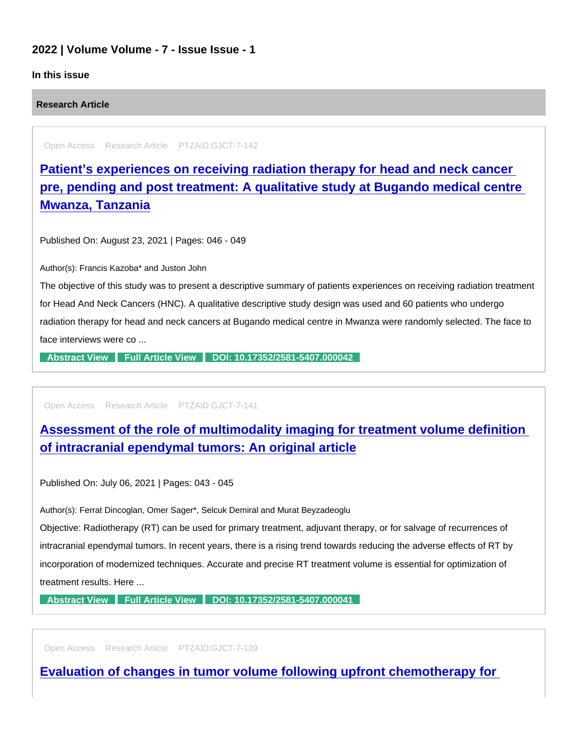## 2022 | Volume Volume - 7 - Issue Issue - 1

### In this issue

Research Article

Open Access Research Article PTZAID:GJCT-7-142

Patient's experiences on receiving radiation therapy for head and neck cancer [pre, pending and post treatment: A qualitative study at Bugando medical centre](https://www.peertechzpublications.com/articles/patient-s-experiences-on-receiving-radiation-therapy-for-head-and-neck-cancer-pre-pending-and-post-treatment-a-qualitative-study-at-bugando-medical-centre-mwanza-tanzania)  Mwanza, Tanzania

Published On: August 23, 2021 | Pages: 046 - 049

Author(s): Francis Kazoba\* and Juston John

The objective of this study was to present a descriptive summary of patients experiences on receiving radiation treatment for Head And Neck Cancers (HNC). A qualitative descriptive study design was used and 60 patients who undergo radiation therapy for head and neck cancers at Bugando medical centre in Mwanza were randomly selected. The face to face interviews were co ...

[Abstract View](https://www.peertechzpublications.com/abstracts/patient-s-experiences-on-receiving-radiation-therapy-for-head-and-neck-cancer-pre-pending-and-post-treatment-a-qualitative-study-at-bugando-medical-centre-mwanza-tanzania) [Full Article View](https://www.peertechzpublications.com/articles/patient-s-experiences-on-receiving-radiation-therapy-for-head-and-neck-cancer-pre-pending-and-post-treatment-a-qualitative-study-at-bugando-medical-centre-mwanza-tanzania) [DOI: 10.17352/2581-5407.000042](http://dx.doi.org/10.17352/2581-5407.000042)

Open Access Research Article PTZAID:GJCT-7-141

[Assessment of the role of multimodality imaging for treatment volume definition](https://www.peertechzpublications.com/articles/assessment-of-the-role-of-multimodality-imaging-for-treatment-volume-definition-of-intracranial-ependymal-tumors-an-original-article)  of intracranial ependymal tumors: An original article

Published On: July 06, 2021 | Pages: 043 - 045

Author(s): Ferrat Dincoglan, Omer Sager\*, Selcuk Demiral and Murat Beyzadeoglu

Objective: Radiotherapy (RT) can be used for primary treatment, adjuvant therapy, or for salvage of recurrences of intracranial ependymal tumors. In recent years, there is a rising trend towards reducing the adverse effects of RT by incorporation of modernized techniques. Accurate and precise RT treatment volume is essential for optimization of treatment results. Here ...

[Abstract View](https://www.peertechzpublications.com/abstracts/assessment-of-the-role-of-multimodality-imaging-for-treatment-volume-definition-of-intracranial-ependymal-tumors-an-original-article) [Full Article View](https://www.peertechzpublications.com/articles/assessment-of-the-role-of-multimodality-imaging-for-treatment-volume-definition-of-intracranial-ependymal-tumors-an-original-article) [DOI: 10.17352/2581-5407.000041](http://dx.doi.org/10.17352/2581-5407.000041)

Open Access Research Article PTZAID:GJCT-7-139

[Evaluation of changes in tumor volume following upfront chemotherapy for](https://www.peertechzpublications.com/articles/evaluation-of-changes-in-tumor-volume-following-upfront-chemotherapy-for-locally-advanced-non-small-cell-lung-cancer-nsclc)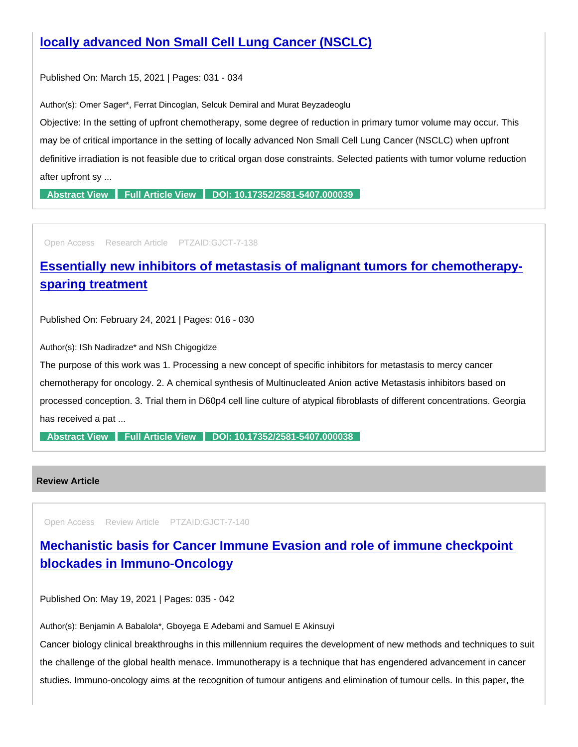Published On: March 15, 2021 | Pages: 031 - 034

Author(s): Omer Sager\*, Ferrat Dincoglan, Selcuk Demiral and Murat Beyzadeoglu

Objective: In the setting of upfront chemotherapy, some degree of reduction in primary tumor volume may occur. This may be of critical importance in the setting of locally advanced Non Small Cell Lung Cancer (NSCLC) when upfront definitive irradiation is not feasible due to critical organ dose constraints. Selected patients with tumor volume reduction after upfront sy ...

[Abstract View](https://www.peertechzpublications.com/abstracts/evaluation-of-changes-in-tumor-volume-following-upfront-chemotherapy-for-locally-advanced-non-small-cell-lung-cancer-nsclc) [Full Article View](https://www.peertechzpublications.com/articles/evaluation-of-changes-in-tumor-volume-following-upfront-chemotherapy-for-locally-advanced-non-small-cell-lung-cancer-nsclc) [DOI: 10.17352/2581-5407.000039](http://dx.doi.org/10.17352/2581-5407.000039)

Open Access Research Article PTZAID:GJCT-7-138

# [Essentially new inhibitors of metastasis of malignant tumors for chemotherapy](https://www.peertechzpublications.com/articles/essentially-new-inhibitors-of-metastasis-of-malignant-tumors-for-chemotherapy-sparing-treatment)sparing treatment

Published On: February 24, 2021 | Pages: 016 - 030

Author(s): ISh Nadiradze\* and NSh Chigogidze

The purpose of this work was 1. Processing a new concept of specific inhibitors for metastasis to mercy cancer chemotherapy for oncology. 2. A chemical synthesis of Multinucleated Anion active Metastasis inhibitors based on processed conception. 3. Trial them in D60p4 cell line culture of atypical fibroblasts of different concentrations. Georgia has received a pat ...

[Abstract View](https://www.peertechzpublications.com/abstracts/essentially-new-inhibitors-of-metastasis-of-malignant-tumors-for-chemotherapy-sparing-treatment) [Full Article View](https://www.peertechzpublications.com/articles/essentially-new-inhibitors-of-metastasis-of-malignant-tumors-for-chemotherapy-sparing-treatment) [DOI: 10.17352/2581-5407.000038](http://dx.doi.org/10.17352/2581-5407.000038)

### Review Article

Open Access Review Article PTZAID:GJCT-7-140

[Mechanistic basis for Cancer Immune Evasion and role of immune checkpoint](https://www.peertechzpublications.com/articles/mechanistic-basis-for-cancer-immune-evasion-and-role-of-immune-checkpoint-blockades-in-immuno-oncology)  blockades in Immuno-Oncology

Published On: May 19, 2021 | Pages: 035 - 042

Author(s): Benjamin A Babalola\*, Gboyega E Adebami and Samuel E Akinsuyi

Cancer biology clinical breakthroughs in this millennium requires the development of new methods and techniques to suit the challenge of the global health menace. Immunotherapy is a technique that has engendered advancement in cancer studies. Immuno-oncology aims at the recognition of tumour antigens and elimination of tumour cells. In this paper, the